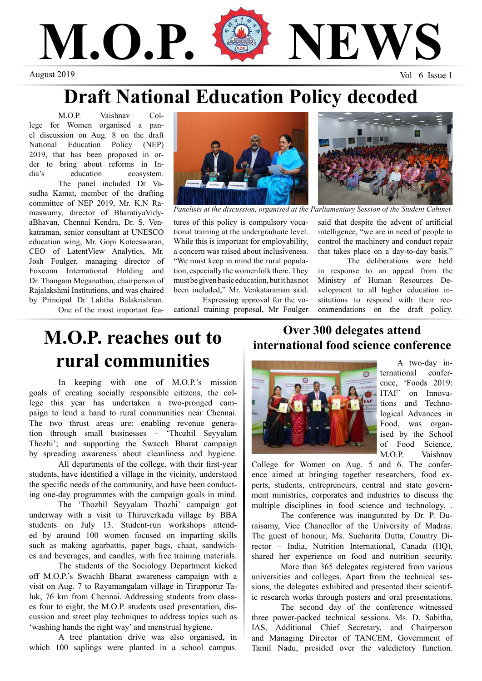

## **Draft National Education Policy decoded**

M.O.P. Vaishnav College for Women organised a panel discussion on Aug. 8 on the draft National Education Policy (NEP) 2019, that has been proposed in order to bring about reforms in India's education ecosystem. The panel included Dr Vasudha Kamat, member of the drafting committee of NEP 2019, Mr. K.N Ramaswamy, director of BharatiyaVidyaBhavan, Chennai Kendra, Dr. S. Venkatraman, senior consultant at UNESCO education wing, Mr. Gopi Koteeswaran, CEO of LatentView Analytics, Mr. Josh Foulger, managing director of Foxconn International Holding and Dr. Thangam Meganathan, chairperson of Rajalakshmi Institutions, and was chaired by Principal Dr Lalitha Balakrishnan.

One of the most important fea-



tures of this policy is compulsory vocational training at the undergraduate level. While this is important for employability, a concern was raised about inclusiveness. "We must keep in mind the rural population, especially the womenfolk there. They must be given basic education, but it has not been included," Mr. Venkataraman said.

Expressing approval for the vocational training proposal, Mr Foulger



Panelists at the discussion, organised at the Parliamentary Session of the Student Cabinet

said that despite the advent of artificial intelligence, "we are in need of people to control the machinery and conduct repair that takes place on a day-to-day basis."

The deliberations were held in response to an appeal from the Ministry of Human Resources Development to all higher education institutions to respond with their recommendations on the draft policy.

### **M.O.P. reaches out to rural communities**

In keeping with one of M.O.P.'s mission goals of creating socially responsible citizens, the college this year has undertaken a two-pronged campaign to lend a hand to rural communities near Chennai. The two thrust areas are: enabling revenue generation through small businesses – 'Thozhil Seyyalam Thozhi'; and supporting the Swacch Bharat campaign by spreading awareness about cleanliness and hygiene.

All departments of the college, with their first-year students, have identified a village in the vicinity, understood the specific needs of the community, and have been conducting one-day programmes with the campaign goals in mind.

The 'Thozhil Seyyalam Thozhi' campaign got underway with a visit to Thiruverkadu village by BBA students on July 13. Student-run workshops attended by around 100 women focused on imparting skills such as making agarbattis, paper bags, chaat, sandwiches and beverages, and candles, with free training materials.

The students of the Sociology Department kicked off M.O.P.'s Swachh Bharat awareness campaign with a visit on Aug. 7 to Rayamangalam village in Tirupporur Taluk, 76 km from Chennai. Addressing students from classes four to eight, the M.O.P. students used presentation, discussion and street play techniques to address topics such as 'washing hands the right way' and menstrual hygiene.

A tree plantation drive was also organised, in which 100 saplings were planted in a school campus.

#### **Over 300 delegates attend international food science conference**



A two-day international conference, 'Foods 2019: ITAF' on Innovations and Technological Advances in Food, was organised by the School of Food Science, M.O.P. Vaishnav

College for Women on Aug. 5 and 6. The conference aimed at bringing together researchers, food experts, students, entrepreneurs, central and state government ministries, corporates and industries to discuss the multiple disciplines in food science and technology. .

The conference was inaugurated by Dr. P. Duraisamy, Vice Chancellor of the University of Madras. The guest of honour, Ms. Sucharita Dutta, Country Director – India, Nutrition International, Canada (HQ), shared her experience on food and nutrition security.

More than 365 delegates registered from various universities and colleges. Apart from the technical sessions, the delegates exhibited and presented their scientific research works through posters and oral presentations.

The second day of the conference witnessed three power-packed technical sessions. Ms. D. Sabitha, IAS, Additional Chief Secretary, and Chairperson and Managing Director of TANCEM, Government of Tamil Nadu, presided over the valedictory function.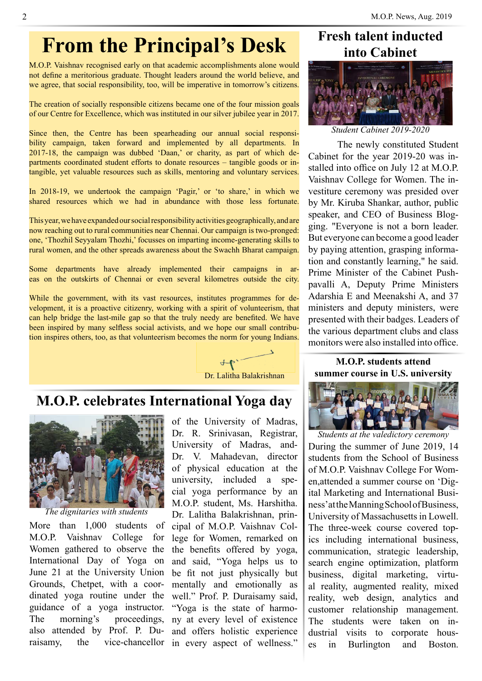# **From the Principal's Desk**

M.O.P. Vaishnav recognised early on that academic accomplishments alone would not define a meritorious graduate. Thought leaders around the world believe, and we agree, that social responsibility, too, will be imperative in tomorrow's citizens.

The creation of socially responsible citizens became one of the four mission goals of our Centre for Excellence, which was instituted in our silver jubilee year in 2017. which was instituted in our silver jubilee year in  $2017$ .

Since then, the Centre has been spearheading our annual social responsibility campaign, taken forward and implemented by all departments. In 2017-18, the campaign was dubbed 'Daan,' or charity, as part of which departments coordinated student efforts to donate resources - tangible goods or inparametric coordinated statem crions to donate resources and voluntary geods of m<br>tangible, yet valuable resources such as skills, mentoring and voluntary services. been spearheading our annual social responsies such as skills, mentoring and voluntary services.

In 2018-19, we undertook the campaign 'Pagir,' or 'to share,' in which we shared resources which we had in abundance with those less fortunate. ned in abundance with those ress fortunate.

This year, we have expanded our social responsibility activities geographically, and are now reaching out to rural communities near Chennai. Our campaign is two-pronged: one, 'Thozhil Seyyalam Thozhi,' focusses on imparting income-generating skills to rural women, and the other spreads awareness about the Swachh Bharat campaign. r social responsibility activities geographically, and are munities near Chennai. Our campaign is two-pronged: reads awareness about the Swachh Bharat campaign.

Some departments have already implemented their campaigns in areas on the outskirts of Chennai or even several kilometres outside the city. already implemented their campaigns in arhand of even several knowledges outside the city.

While the government, with its vast resources, institutes programmes for dewhich the government, what its vast resources, institutes programmes for the velopment, it is a proactive citizenry, working with a spirit of volunteerism, that can help bridge the last-mile gap so that the truly needy are benefited. We have been inspired by many selfless social activists, and we hope our small contribution inspires others, too, as that volunteerism becomes the norm for young Indians. itizenry, working with a spirit of volunteerism, that is social activists, and we hope our small contribu-



Dr. Lalitha Balakrishnan Dr. Lalitha Balakrishnan

#### **M.O.P. celebrates International Yoga day**  $\mid$ al flagship event of the MBA departement of the MBA departement of the MBA departement of the MBA departement of the MBA departement of the MBA departement of the MBA departement of the MBA departement of the MBA departem **Mathematic Constitution**



*The dignitaries with students*

More than 1,000 students of M.O.P. Vaishnav College for Women gathered to observe the International Day of Yoga on June 21 at the University Union Grounds, Chetpet, with a coordinated yoga routine under the guidance of a yoga instructor. The morning's proceedings, also attended by Prof. P. Duraisamy, the vice-chancellor in every aspect of wellness."

mant, of the University of Madras, Dr. R. Srinivasan, Registrar,  $\frac{1}{2}$  University of Madras, and-Dr. V. Mahadevan, director  $\mathbb{Z}$  is a set of physical education at the  $\mathbb{Z}$  $\frac{1}{\sqrt{2}}$  university, included a spe- $\log a$  performance by an with M.O.P. student, Ms. Harshitha. Dr. Lalitha Balakrishnan, principal of M.O.P. Vaishnav College for Women, remarked on the benefits offered by yoga, and said, "Yoga helps us to be fit not just physically but mentally and emotionally as well." Prof. P. Duraisamy said, "Yoga is the state of harmony at every level of existence and offers holistic experience  $\log a$  performance by and  $\log a$ 

### **Fresh talent inducted into Cabinet**



*Student Cabinet 2019-2020*

The newly constituted Student Cabinet for the year 2019-20 was installed into office on July 12 at M.O.P. Vaishnav College for Women. The investiture ceremony was presided over by Mr. Kiruba Shankar, author, public speaker, and CEO of Business Blogging. "Everyone is not a born leader. But everyone can become a good leader by paying attention, grasping information and constantly learning," he said. Prime Minister of the Cabinet Pushpavalli A, Deputy Prime Ministers Adarshia E and Meenakshi A, and 37 ministers and deputy ministers, were presented with their badges. Leaders of the various department clubs and class monitors were also installed into office. y Mr. Kiruba Shankar, author, public  $\mu$  and  $\mu$  and  $\mu$  and  $\mu$  are  $\mu$  is set the  $\mu$ out everyone can become a good leader y paying attention, grasping imormarime Minister of the Cabinet Push- $\alpha$  silver medal in an All India tent-pitching competition.

#### **M.O.P. students attend**  summer course in U.S. university



During the summer of June 2019, 14 students from the School of Business of M.O.P. Vaishnav College For Women,attended a summer course on 'Digital Marketing and International Business' at the Manning School of Business, University of Massachusetts in Lowell. The three-week course covered topics including international business, communication, strategic leadership, search engine optimization, platform business, digital marketing, virtual reality, augmented reality, mixed reality, web design, analytics and customer relationship management. The students were taken on industrial visits to corporate houses in Burlington and Boston. Students at the valedictory ceremony Juring the summer of June  $2019$ , 14 f M.O.P. Vaishnav College For Wom $n$ , alternated a summer course on  $D_1$ gess'at the Manning School of Business,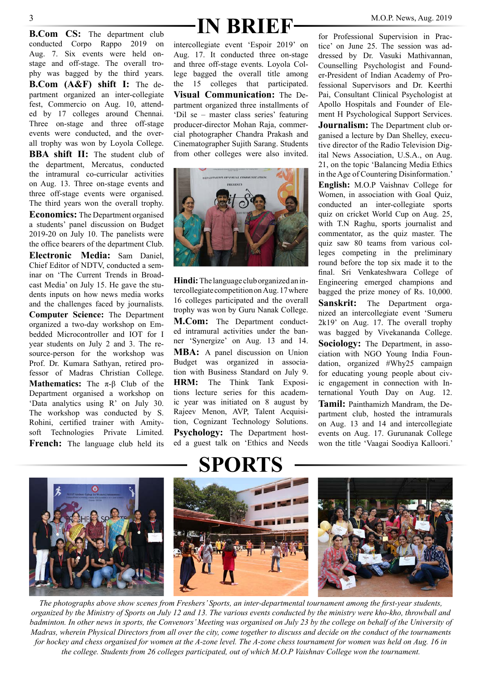conducted Corpo Rappo 2019 on Aug. 7. Six events were held onstage and off-stage. The overall trophy was bagged by the third years. **B.Com (A&F) shift I:** The department organized an inter-collegiate fest, Commercio on Aug. 10, attended by 17 colleges around Chennai. Three on-stage and three off-stage events were conducted, and the overall trophy was won by Loyola College.

**BBA shift II:** The student club of the department, Mercatus, conducted the intramural co-curricular activities on Aug. 13. Three on-stage events and three off-stage events were organised. The third years won the overall trophy.

**Economics:** The Department organised a students' panel discussion on Budget 2019-20 on July 10. The panelists were the office bearers of the department Club.

**Electronic Media:** Sam Daniel, Chief Editor of NDTV, conducted a seminar on 'The Current Trends in Broadcast Media' on July 15. He gave the students inputs on how news media works and the challenges faced by journalists. **Computer Science:** The Department organized a two-day workshop on Embedded Microcontroller and IOT for I year students on July 2 and 3. The resource-person for the workshop was Prof. Dr. Kumara Sathyan, retired professor of Madras Christian College. **Mathematics:** The π-β Club of the Department organised a workshop on 'Data analytics using R' on July 30. The workshop was conducted by S. Rohini, certified trainer with Amitysoft Technologies Private Limited. **French:** The language club held its

# **B.Com CS:** The department club **IN BRIEF** M.O.P. News, Aug. 2019

intercollegiate event 'Espoir 2019' on Aug. 17. It conducted three on-stage and three off-stage events. Loyola College bagged the overall title among the 15 colleges that participated. **Visual Communication:** The Department organized three installments of 'Dil se – master class series' featuring producer-director Mohan Raja, commercial photographer Chandra Prakash and Cinematographer Sujith Sarang. Students from other colleges were also invited.



**Hindi:** The language club organized an intercollegiate competition on Aug. 17 where 16 colleges participated and the overall trophy was won by Guru Nanak College. **M.Com:** The Department conducted intramural activities under the banner 'Synergize' on Aug. 13 and 14. **MBA:** A panel discussion on Union Budget was organized in association with Business Standard on July 9. **HRM:** The Think Tank Expositions lecture series for this academic year was initiated on 8 august by Rajeev Menon, AVP, Talent Acquisition, Cognizant Technology Solutions. **Psychology:** The Department hosted a guest talk on 'Ethics and Needs

for Professional Supervision in Practice' on June 25. The session was addressed by Dr. Vasuki Mathivannan, Counselling Psychologist and Founder-President of Indian Academy of Professional Supervisors and Dr. Keerthi Pai, Consultant Clinical Psychologist at Apollo Hospitals and Founder of Element H Psychological Support Services.

**Journalism:** The Department club organised a lecture by Dan Shelley, executive director of the Radio Television Digital News Association, U.S.A., on Aug. 21, on the topic 'Balancing Media Ethics in the Age of Countering Disinformation.' **English:** M.O.P Vaishnav College for Women, in association with Goal Quiz, conducted an inter-collegiate sports quiz on cricket World Cup on Aug. 25, with T.N Raghu, sports journalist and commentator, as the quiz master. The quiz saw 80 teams from various colleges competing in the preliminary round before the top six made it to the final. Sri Venkateshwara College of Engineering emerged champions and bagged the prize money of Rs. 10,000.

**Sanskrit:** The Department organized an intercollegiate event 'Sumeru 2k19' on Aug. 17. The overall trophy was bagged by Vivekananda College. **Sociology:** The Department, in association with NGO Young India Foundation, organized #Why25 campaign for educating young people about civic engagement in connection with International Youth Day on Aug. 12. **Tamil:** Painthamizh Mandram, the Department club, hosted the intramurals on Aug. 13 and 14 and intercollegiate events on Aug. 17. Gurunanak College won the title 'Vaagai Soodiya Kalloori.'



*The photographs above show scenes from Freshers' Sports, an inter-departmental tournament among the first-year students, organized by the Ministry of Sports on July 12 and 13. The various events conducted by the ministry were kho-kho, throwball and*  badminton. In other news in sports, the Convenors' Meeting was organised on July 23 by the college on behalf of the University of *Madras, wherein Physical Directors from all over the city, come together to discuss and decide on the conduct of the tournaments for hockey and chess organised for women at the A-zone level. The A-zone chess tournament for women was held on Aug. 16 in the college. Students from 26 colleges participated, out of which M.O.P Vaishnav College won the tournament.* 

### **SPORTS**